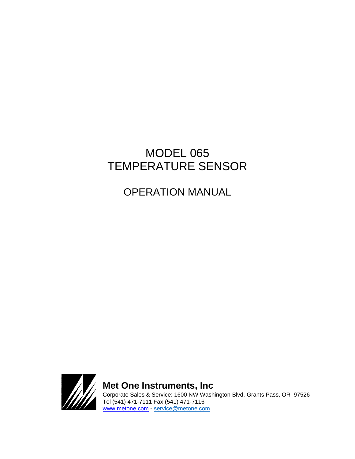# MODEL 065 TEMPERATURE SENSOR

OPERATION MANUAL



**Met One Instruments, Inc**  Corporate Sales & Service: 1600 NW Washington Blvd. Grants Pass, OR 97526 Tel (541) 471-7111 Fax (541) 471-7116 [www.metone.com](http://www.metone.com/) - [service@metone.com](mailto:service@metone.com)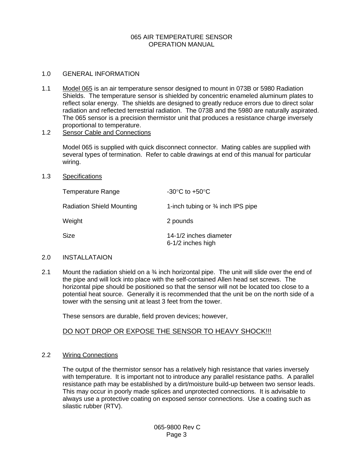## 065 AIR TEMPERATURE SENSOR OPERATION MANUAL

#### 1.0 GENERAL INFORMATION

1.1 Model 065 is an air temperature sensor designed to mount in 073B or 5980 Radiation Shields. The temperature sensor is shielded by concentric enameled aluminum plates to reflect solar energy. The shields are designed to greatly reduce errors due to direct solar radiation and reflected terrestrial radiation. The 073B and the 5980 are naturally aspirated. The 065 sensor is a precision thermistor unit that produces a resistance charge inversely proportional to temperature.

## 1.2 Sensor Cable and Connections

Model 065 is supplied with quick disconnect connector. Mating cables are supplied with several types of termination. Refer to cable drawings at end of this manual for particular wiring.

#### 1.3 Specifications

| Temperature Range                | -30 $\mathrm{^{\circ}C}$ to +50 $\mathrm{^{\circ}C}$ |
|----------------------------------|------------------------------------------------------|
| <b>Radiation Shield Mounting</b> | 1-inch tubing or $\frac{3}{4}$ inch IPS pipe         |
| Weight                           | 2 pounds                                             |
| Size                             | 14-1/2 inches diameter<br>6-1/2 inches high          |

#### 2.0 INSTALLATAION

2.1 Mount the radiation shield on a  $\frac{3}{4}$  inch horizontal pipe. The unit will slide over the end of the pipe and will lock into place with the self-contained Allen head set screws. The horizontal pipe should be positioned so that the sensor will not be located too close to a potential heat source. Generally it is recommended that the unit be on the north side of a tower with the sensing unit at least 3 feet from the tower.

These sensors are durable, field proven devices; however,

# DO NOT DROP OR EXPOSE THE SENSOR TO HEAVY SHOCK!!!

# 2.2 Wiring Connections

The output of the thermistor sensor has a relatively high resistance that varies inversely with temperature. It is important not to introduce any parallel resistance paths. A parallel resistance path may be established by a dirt/moisture build-up between two sensor leads. This may occur in poorly made splices and unprotected connections. It is advisable to always use a protective coating on exposed sensor connections. Use a coating such as silastic rubber (RTV).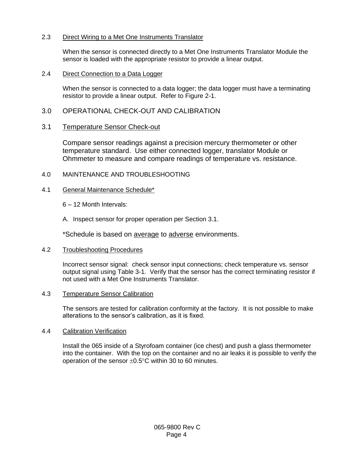# 2.3 Direct Wiring to a Met One Instruments Translator

When the sensor is connected directly to a Met One Instruments Translator Module the sensor is loaded with the appropriate resistor to provide a linear output.

## 2.4 Direct Connection to a Data Logger

When the sensor is connected to a data logger; the data logger must have a terminating resistor to provide a linear output. Refer to Figure 2-1.

# 3.0 OPERATIONAL CHECK-OUT AND CALIBRATION

## 3.1 Temperature Sensor Check-out

Compare sensor readings against a precision mercury thermometer or other temperature standard. Use either connected logger, translator Module or Ohmmeter to measure and compare readings of temperature vs. resistance.

## 4.0 MAINTENANCE AND TROUBLESHOOTING

## 4.1 General Maintenance Schedule\*

- 6 12 Month Intervals:
- A. Inspect sensor for proper operation per Section 3.1.

\*Schedule is based on average to adverse environments.

## 4.2 Troubleshooting Procedures

Incorrect sensor signal: check sensor input connections; check temperature vs. sensor output signal using Table 3-1. Verify that the sensor has the correct terminating resistor if not used with a Met One Instruments Translator.

## 4.3 Temperature Sensor Calibration

The sensors are tested for calibration conformity at the factory. It is not possible to make alterations to the sensor's calibration, as it is fixed.

#### 4.4 Calibration Verification

Install the 065 inside of a Styrofoam container (ice chest) and push a glass thermometer into the container. With the top on the container and no air leaks it is possible to verify the operation of the sensor  $\pm 0.5^{\circ}$ C within 30 to 60 minutes.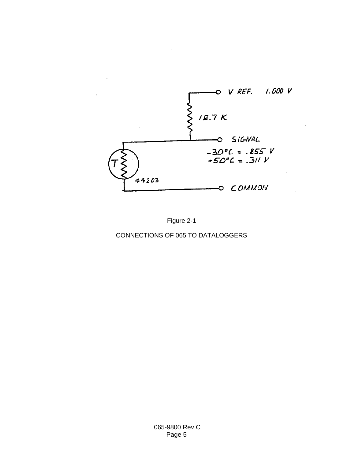

Figure 2-1

CONNECTIONS OF 065 TO DATALOGGERS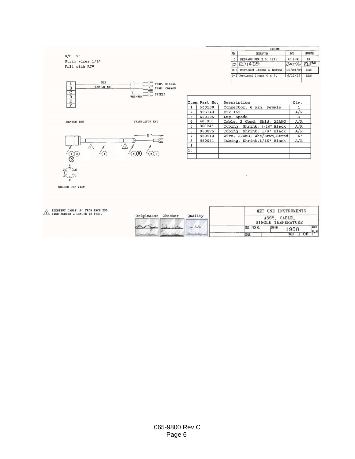|     | <b>REVISIONS</b>           |                    |            |
|-----|----------------------------|--------------------|------------|
| REV | <b>DESCRIPTION</b>         | DATE               | APPROVED   |
| c   | REDRAWN PER E.O. 1131      | 9/11/91            | DH         |
|     | $D$ $E01428$               | $200796$ $ZW^{12}$ |            |
|     | D-1 Revised Items & Notes. | 11/23/09           | <b>DRS</b> |
|     | $D-2$ Revised Items 4 & 5. | 6/11/15            | <b>DRS</b> |





|                         | Item Part No. | Description                  | Qty.            |
|-------------------------|---------------|------------------------------|-----------------|
| $\mathbf{1}$            | 500108        | Connector, 6 pin, Female     |                 |
| $\overline{2}$          | 995140        | RTV-162                      | A/R             |
| $\overline{\mathbf{3}}$ | 600196        | Lug, Spade                   | 3               |
| $\overline{4}$          | 400010        | Cable, 2 Cond, Shld, 22AWG   | A/R             |
| 5                       | 960045        | Tubing, Shrink, 3/16" Black  | A/R             |
| 6                       | 960075        | Tubing, Shrink, 1/8" Black   | A/R             |
| 7                       | 980510        | Wire, 22AWG, Wht/Brwn, Strnd | 6 <sup>11</sup> |
| 8                       | 960041        | Tubing, Shrink, 1/16" Black  | A/R             |
| $\overline{9}$          |               |                              |                 |
| 10                      |               |                              |                 |
|                         |               |                              |                 |

SOLDER CUP VIEW

 $\bigwedge$  IDENTIFY CABLE 18" FROM<br>DASH NUMBER = LENGTH IN

 $B/O$ .9"

Strip wires  $1/4$ "<br>Fill with RTV

| EACH END.<br>FEET. |                    |              |                                    | MET ONE INSTRUMENTS |         |     |                |
|--------------------|--------------------|--------------|------------------------------------|---------------------|---------|-----|----------------|
|                    | Originator Checker | Ouality      | ASSY, CABLE,<br>SINGLE TEMPERATURE |                     |         |     |                |
|                    |                    |              |                                    | ISIZE FSOM NO.      | DWG NO. | 958 | Rev<br>$D - 2$ |
|                    |                    | Betay Badley | <b>SCALE</b>                       |                     |         | SÆ  |                |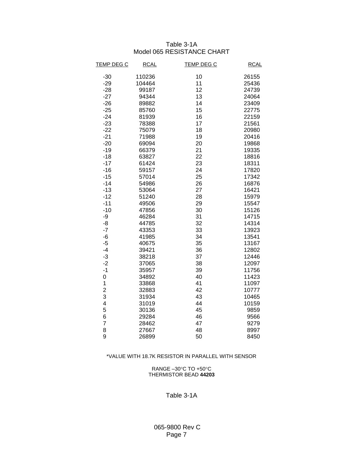# Table 3-1A Model 065 RESISTANCE CHART

| <b>TEMP DEG C</b> | <b>RCAL</b> | <b>TEMP DEG C</b> | <b>RCAL</b> |
|-------------------|-------------|-------------------|-------------|
| $-30$             | 110236      | 10                | 26155       |
| $-29$             | 104464      | 11                | 25436       |
| $-28$             | 99187       | 12                | 24739       |
| $-27$             | 94344       | 13                | 24064       |
| $-26$             | 89882       | 14                | 23409       |
| $-25$             | 85760       | 15                | 22775       |
| $-24$             | 81939       | 16                | 22159       |
| $-23$             | 78388       | 17                | 21561       |
| $-22$             | 75079       | 18                | 20980       |
| $-21$             | 71988       | 19                | 20416       |
| $-20$             | 69094       | 20                | 19868       |
| $-19$             | 66379       | 21                | 19335       |
| $-18$             | 63827       | 22                | 18816       |
| $-17$             | 61424       | 23                | 18311       |
| $-16$             | 59157       | 24                | 17820       |
| $-15$             | 57014       | 25                | 17342       |
| $-14$             | 54986       | 26                | 16876       |
| $-13$             | 53064       | 27                | 16421       |
| $-12$             | 51240       | 28                | 15979       |
| $-11$             | 49506       | 29                | 15547       |
| $-10$             | 47856       | 30                | 15126       |
| -9                | 46284       | 31                | 14715       |
| -8                | 44785       | 32                | 14314       |
| $-7$              | 43353       | 33                | 13923       |
| -6                | 41985       | 34                | 13541       |
| $-5$              | 40675       | 35                | 13167       |
| $-4$              | 39421       | 36                | 12802       |
| $-3$              | 38218       | 37                | 12446       |
| $-2$              | 37065       | 38                | 12097       |
| $-1$              | 35957       | 39                | 11756       |
| 0                 | 34892       | 40                | 11423       |
| 1                 | 33868       | 41                | 11097       |
| 2                 | 32883       | 42                | 10777       |
| 3                 | 31934       | 43                | 10465       |
| 4                 | 31019       | 44                | 10159       |
| 5                 | 30136       | 45                | 9859        |
| 6                 | 29284       | 46                | 9566        |
| $\overline{7}$    | 28462       | 47                | 9279        |
| 8                 | 27667       | 48                | 8997        |
| 9                 | 26899       | 50                | 8450        |

#### \*VALUE WITH 18.7K RESISTOR IN PARALLEL WITH SENSOR

RANGE  $-30^{\circ}$ C TO +50 $^{\circ}$ C THERMISTOR BEAD **44203**

#### Table 3-1A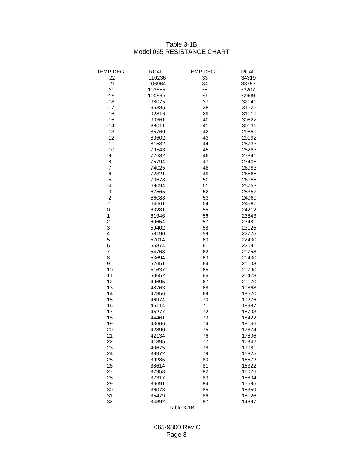# Table 3-1B Model 065 RESISTANCE CHART

| <b>TEMP DEG F</b> | <b>RCAL</b> | <b>TEMP DEG F</b> | <b>RCAL</b> |
|-------------------|-------------|-------------------|-------------|
| $-22$             | 110236      | 33                | 34319       |
| $-21$             | 106964      | 34                | 33757       |
| $-20$             | 103855      | 35                | 33207       |
| $-19$             | 100895      | 36                | 32669       |
| $-18$             | 98075       | 37                | 32141       |
| $-17$             | 95385       | 38                | 31625       |
| $-16$             | 92816       | 39                | 31119       |
| $-15$             | 90361       | 40                | 30622       |
| $-14$             | 88011       | 41                | 30136       |
| $-13$             | 85760       | 42                | 29659       |
| $-12$             | 83602       | 43                | 29192       |
| $-11$             | 81532       | 44                | 28733       |
| $-10$             | 79543       | 45                | 28283       |
| -9                | 77632       | 46                | 27841       |
| -8                | 75794       | 47                | 27408       |
| $-7$              | 74025       | 48                | 26983       |
| -6                | 72321       | 49                | 26565       |
| $-5$              | 70678       | 50                | 26155       |
| -4                | 69094       | 51                | 25753       |
| $-3$              | 67565       | 52                | 25357       |
| $-2$              | 66088       | 53                | 24969       |
| $-1$              | 64661       | 54                | 24587       |
| $\pmb{0}$         | 63281       | 55                | 24212       |
| 1                 | 61946       | 56                | 23843       |
| $\overline{c}$    | 60654       | 57                | 23481       |
| 3                 | 59402       | 58                | 23125       |
| 4                 | 58190       | 59                | 22775       |
| 5                 | 57014       | 60                | 22430       |
| 6                 | 55874       | 61                | 22091       |
| 7                 | 54768       | 62                | 21758       |
| 8                 | 53694       | 63                | 21430       |
| 9                 | 52651       | 64                | 21108       |
| 10                | 51637       | 65                | 20790       |
| 11                | 50652       | 66                | 20478       |
| 12                | 49695       | 67                | 20170       |
| 13                | 48763       | 68                | 19868       |
| 14                | 47856       | 69                | 19570       |
| 15                | 46974       | 70                | 19276       |
| 16                | 46114       | 71                | 18987       |
| 17                | 45277       | 72                | 18703       |
| 18                | 44461       | 73                | 18422       |
| 19                | 43666       | 74                | 18146       |
| 20                | 42890       | 75                | 17874       |
| 21                | 42134       | 76                | 17606       |
| 22                | 41395       | 77                | 17342       |
| 23                | 40675       | 78                | 17081       |
| 24                | 39972       | 79                | 16825       |
| 25                | 39285       | 80                | 16572       |
| 26                | 38614       | 81                | 16322       |
| 27                | 37958       | 82                | 16076       |
| 28                | 37317       | 83                | 15834       |
| 29                | 36691       | 84                | 15595       |
| 30                | 36078       | 85                | 15359       |
| 31                | 35479       | 86                | 15126       |
| 32                | 34892       | 87                | 14897       |
|                   |             |                   |             |

Table 3-1B

 065-9800 Rev C Page 8